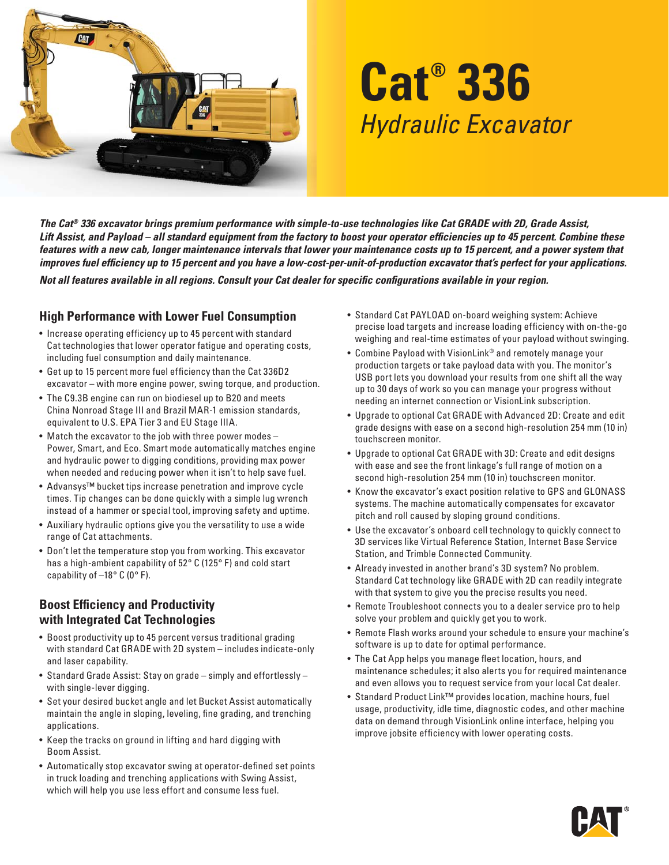

# **Cat® 336** Hydraulic Excavator

*The Cat® 336 excavator brings premium performance with simple-to-use technologies like Cat GRADE with 2D, Grade Assist,*  Lift Assist, and Payload – all standard equipment from the factory to boost your operator efficiencies up to 45 percent. Combine these *features with a new cab, longer maintenance intervals that lower your maintenance costs up to 15 percent, and a power system that*  improves fuel efficiency up to 15 percent and you have a low-cost-per-unit-of-production excavator that's perfect for your applications. *Not all features available in all regions. Consult your Cat dealer for specific configurations available in your region.* 

#### **High Performance with Lower Fuel Consumption**

- Increase operating efficiency up to 45 percent with standard Cat technologies that lower operator fatigue and operating costs, including fuel consumption and daily maintenance.
- Get up to 15 percent more fuel efficiency than the Cat 336D2 excavator – with more engine power, swing torque, and production.
- The C9.3B engine can run on biodiesel up to B20 and meets China Nonroad Stage III and Brazil MAR-1 emission standards, equivalent to U.S. EPA Tier 3 and EU Stage IIIA.
- Match the excavator to the job with three power modes -Power, Smart, and Eco. Smart mode automatically matches engine and hydraulic power to digging conditions, providing max power when needed and reducing power when it isn't to help save fuel.
- Advansys™ bucket tips increase penetration and improve cycle times. Tip changes can be done quickly with a simple lug wrench instead of a hammer or special tool, improving safety and uptime.
- Auxiliary hydraulic options give you the versatility to use a wide range of Cat attachments.
- Don't let the temperature stop you from working. This excavator has a high-ambient capability of 52° C (125° F) and cold start capability of  $-18^\circ$  C (0° F).

#### **Boost Efficiency and Productivity with Integrated Cat Technologies**

- Boost productivity up to 45 percent versus traditional grading with standard Cat GRADE with 2D system – includes indicate-only and laser capability.
- Standard Grade Assist: Stay on grade simply and effortlessly with single-lever digging.
- Set your desired bucket angle and let Bucket Assist automatically maintain the angle in sloping, leveling, fine grading, and trenching applications.
- Keep the tracks on ground in lifting and hard digging with Boom Assist.
- Automatically stop excavator swing at operator-defined set points in truck loading and trenching applications with Swing Assist, which will help you use less effort and consume less fuel.
- Standard Cat PAYLOAD on-board weighing system: Achieve precise load targets and increase loading efficiency with on-the-go weighing and real-time estimates of your payload without swinging.
- Combine Payload with VisionLink® and remotely manage your production targets or take payload data with you. The monitor's USB port lets you download your results from one shift all the way up to 30 days of work so you can manage your progress without needing an internet connection or VisionLink subscription.
- Upgrade to optional Cat GRADE with Advanced 2D: Create and edit grade designs with ease on a second high-resolution 254 mm (10 in) touchscreen monitor.
- Upgrade to optional Cat GRADE with 3D: Create and edit designs with ease and see the front linkage's full range of motion on a second high-resolution 254 mm (10 in) touchscreen monitor.
- Know the excavator's exact position relative to GPS and GLONASS systems. The machine automatically compensates for excavator pitch and roll caused by sloping ground conditions.
- Use the excavator's onboard cell technology to quickly connect to 3D services like Virtual Reference Station, Internet Base Service Station, and Trimble Connected Community.
- Already invested in another brand's 3D system? No problem. Standard Cat technology like GRADE with 2D can readily integrate with that system to give you the precise results you need.
- Remote Troubleshoot connects you to a dealer service pro to help solve your problem and quickly get you to work.
- Remote Flash works around your schedule to ensure your machine's software is up to date for optimal performance.
- The Cat App helps you manage fleet location, hours, and maintenance schedules; it also alerts you for required maintenance and even allows you to request service from your local Cat dealer.
- Standard Product Link™ provides location, machine hours, fuel usage, productivity, idle time, diagnostic codes, and other machine data on demand through VisionLink online interface, helping you improve jobsite efficiency with lower operating costs.

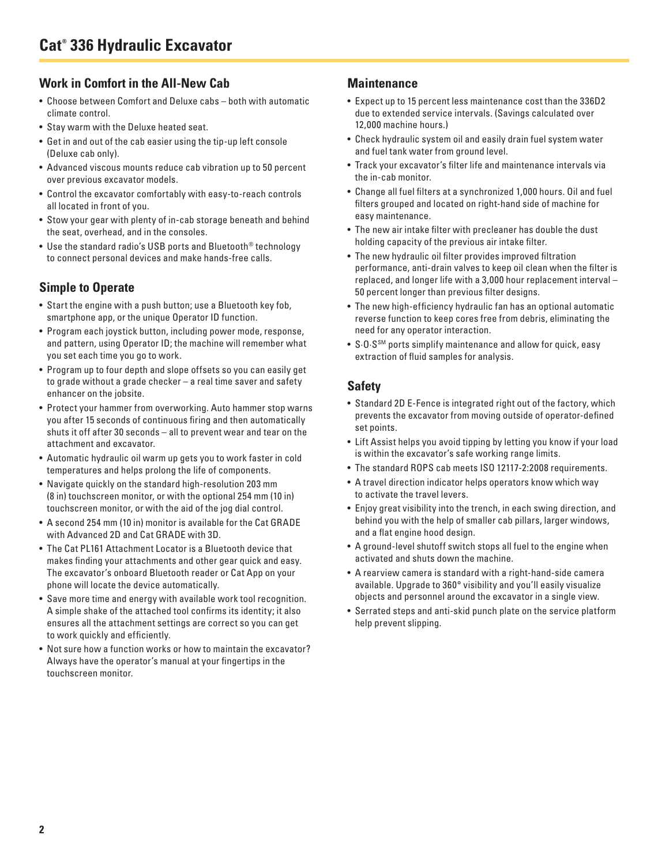#### **Work in Comfort in the All-New Cab**

- Choose between Comfort and Deluxe cabs both with automatic climate control.
- Stay warm with the Deluxe heated seat.
- Get in and out of the cab easier using the tip-up left console (Deluxe cab only).
- Advanced viscous mounts reduce cab vibration up to 50 percent over previous excavator models.
- Control the excavator comfortably with easy-to-reach controls all located in front of you.
- Stow your gear with plenty of in-cab storage beneath and behind the seat, overhead, and in the consoles.
- Use the standard radio's USB ports and Bluetooth® technology to connect personal devices and make hands-free calls.

#### **Simple to Operate**

- Start the engine with a push button; use a Bluetooth key fob, smartphone app, or the unique Operator ID function.
- Program each joystick button, including power mode, response, and pattern, using Operator ID; the machine will remember what you set each time you go to work.
- Program up to four depth and slope offsets so you can easily get to grade without a grade checker – a real time saver and safety enhancer on the jobsite.
- Protect your hammer from overworking. Auto hammer stop warns you after 15 seconds of continuous firing and then automatically shuts it off after 30 seconds – all to prevent wear and tear on the attachment and excavator.
- Automatic hydraulic oil warm up gets you to work faster in cold temperatures and helps prolong the life of components.
- Navigate quickly on the standard high-resolution 203 mm (8 in) touchscreen monitor, or with the optional 254 mm (10 in) touchscreen monitor, or with the aid of the jog dial control.
- A second 254 mm (10 in) monitor is available for the Cat GRADE with Advanced 2D and Cat GRADE with 3D.
- The Cat PL161 Attachment Locator is a Bluetooth device that makes finding your attachments and other gear quick and easy. The excavator's onboard Bluetooth reader or Cat App on your phone will locate the device automatically.
- Save more time and energy with available work tool recognition. A simple shake of the attached tool confirms its identity; it also ensures all the attachment settings are correct so you can get to work quickly and efficiently.
- Not sure how a function works or how to maintain the excavator? Always have the operator's manual at your fingertips in the touchscreen monitor.

#### **Maintenance**

- Expect up to 15 percent less maintenance cost than the 336D2 due to extended service intervals. (Savings calculated over 12,000 machine hours.)
- Check hydraulic system oil and easily drain fuel system water and fuel tank water from ground level.
- Track your excavator's filter life and maintenance intervals via the in-cab monitor.
- Change all fuel filters at a synchronized 1,000 hours. Oil and fuel filters grouped and located on right-hand side of machine for easy maintenance.
- The new air intake filter with precleaner has double the dust holding capacity of the previous air intake filter.
- The new hydraulic oil filter provides improved filtration performance, anti-drain valves to keep oil clean when the filter is replaced, and longer life with a 3,000 hour replacement interval – 50 percent longer than previous filter designs.
- The new high-efficiency hydraulic fan has an optional automatic reverse function to keep cores free from debris, eliminating the need for any operator interaction.
- S∙O∙SSM ports simplify maintenance and allow for quick, easy extraction of fluid samples for analysis.

## **Safety**

- Standard 2D E-Fence is integrated right out of the factory, which prevents the excavator from moving outside of operator-defined set points.
- Lift Assist helps you avoid tipping by letting you know if your load is within the excavator's safe working range limits.
- The standard ROPS cab meets ISO 12117-2:2008 requirements.
- A travel direction indicator helps operators know which way to activate the travel levers.
- Enjoy great visibility into the trench, in each swing direction, and behind you with the help of smaller cab pillars, larger windows, and a flat engine hood design.
- A ground-level shutoff switch stops all fuel to the engine when activated and shuts down the machine.
- A rearview camera is standard with a right-hand-side camera available. Upgrade to 360° visibility and you'll easily visualize objects and personnel around the excavator in a single view.
- Serrated steps and anti-skid punch plate on the service platform help prevent slipping.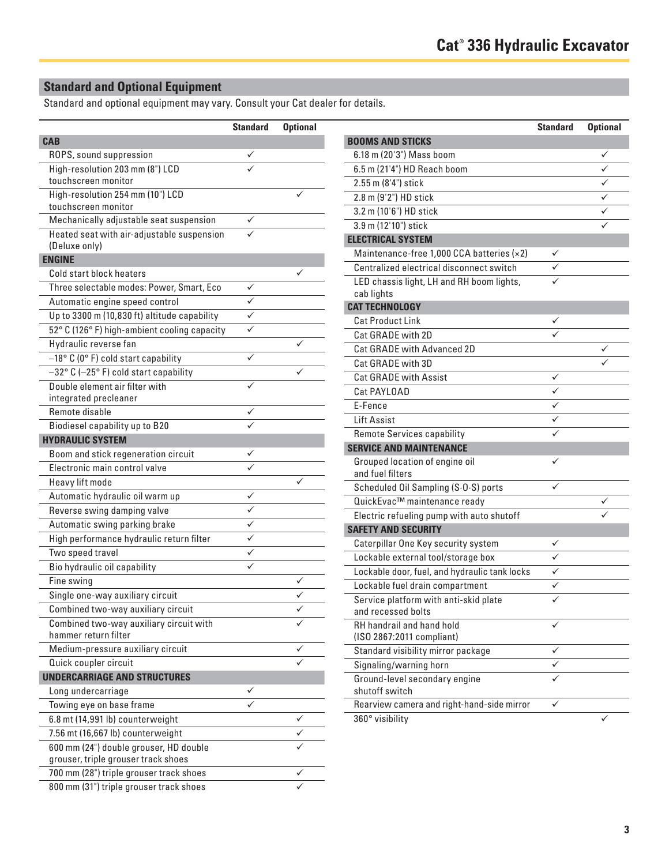# **Standard and Optional Equipment**

Standard and optional equipment may vary. Consult your Cat dealer for details.

|                                              | <b>Standard</b> | <b>Optional</b> |                                               | <b>Standard</b> | <b>Optional</b> |
|----------------------------------------------|-----------------|-----------------|-----------------------------------------------|-----------------|-----------------|
| <b>CAB</b>                                   |                 |                 | <b>BOOMS AND STICKS</b>                       |                 |                 |
| ROPS, sound suppression                      | ✓               |                 | 6.18 m (20'3") Mass boom                      |                 | ✓               |
| High-resolution 203 mm (8") LCD              |                 |                 | 6.5 m (21'4") HD Reach boom                   |                 | ✓               |
| touchscreen monitor                          |                 |                 | 2.55 m (8'4") stick                           |                 | $\checkmark$    |
| High-resolution 254 mm (10") LCD             |                 |                 | 2.8 m (9'2") HD stick                         |                 | ✓               |
| touchscreen monitor                          |                 |                 | 3.2 m (10'6") HD stick                        |                 | ✓               |
| Mechanically adjustable seat suspension      | $\checkmark$    |                 | 3.9 m (12'10") stick                          |                 | ✓               |
| Heated seat with air-adjustable suspension   | ✓               |                 | <b>ELECTRICAL SYSTEM</b>                      |                 |                 |
| (Deluxe only)                                |                 |                 | Maintenance-free 1,000 CCA batteries (×2)     | $\checkmark$    |                 |
| <b>ENGINE</b>                                |                 |                 | Centralized electrical disconnect switch      | $\checkmark$    |                 |
| Cold start block heaters                     |                 | $\checkmark$    | LED chassis light, LH and RH boom lights,     | ✓               |                 |
| Three selectable modes: Power, Smart, Eco    | $\checkmark$    |                 | cab lights                                    |                 |                 |
| Automatic engine speed control               | ✓               |                 | <b>CAT TECHNOLOGY</b>                         |                 |                 |
| Up to 3300 m (10,830 ft) altitude capability | ✓               |                 | <b>Cat Product Link</b>                       | $\checkmark$    |                 |
| 52° C (126° F) high-ambient cooling capacity | $\checkmark$    |                 | Cat GRADE with 2D                             |                 |                 |
| Hydraulic reverse fan                        |                 | ✓               | Cat GRADE with Advanced 2D                    |                 | ✓               |
| -18° C (0° F) cold start capability          | $\checkmark$    |                 | Cat GRADE with 3D                             |                 | ✓               |
| -32° C (-25° F) cold start capability        |                 | ✓               | <b>Cat GRADE with Assist</b>                  | $\checkmark$    |                 |
| Double element air filter with               | ✓               |                 | Cat PAYLOAD                                   | $\checkmark$    |                 |
| integrated precleaner                        |                 |                 | E-Fence                                       | $\checkmark$    |                 |
| Remote disable                               | ✓               |                 | <b>Lift Assist</b>                            | $\checkmark$    |                 |
| Biodiesel capability up to B20               | ✓               |                 | Remote Services capability                    | ✓               |                 |
| <b>HYDRAULIC SYSTEM</b>                      |                 |                 | <b>SERVICE AND MAINTENANCE</b>                |                 |                 |
| Boom and stick regeneration circuit          | ✓               |                 | Grouped location of engine oil                | ✓               |                 |
| Electronic main control valve                | ✓               |                 | and fuel filters                              |                 |                 |
| Heavy lift mode                              |                 | $\checkmark$    | Scheduled Oil Sampling (S.O.S) ports          | $\checkmark$    |                 |
| Automatic hydraulic oil warm up              | $\checkmark$    |                 | QuickEvac™ maintenance ready                  |                 | ✓               |
| Reverse swing damping valve                  | $\checkmark$    |                 | Electric refueling pump with auto shutoff     |                 |                 |
| Automatic swing parking brake                | ✓               |                 | <b>SAFETY AND SECURITY</b>                    |                 |                 |
| High performance hydraulic return filter     | ✓               |                 | Caterpillar One Key security system           | $\checkmark$    |                 |
| Two speed travel                             | $\checkmark$    |                 | Lockable external tool/storage box            | ✓               |                 |
| Bio hydraulic oil capability                 | ✓               |                 | Lockable door, fuel, and hydraulic tank locks | $\checkmark$    |                 |
| Fine swing                                   |                 | ✓               | Lockable fuel drain compartment               | ✓               |                 |
| Single one-way auxiliary circuit             |                 | ✓               | Service platform with anti-skid plate         | $\checkmark$    |                 |
| Combined two-way auxiliary circuit           |                 |                 | and recessed bolts                            |                 |                 |
| Combined two-way auxiliary circuit with      |                 |                 | RH handrail and hand hold                     | ✓               |                 |
| hammer return filter                         |                 |                 | (ISO 2867:2011 compliant)                     |                 |                 |
| Medium-pressure auxiliary circuit            |                 | ✓               | Standard visibility mirror package            | $\checkmark$    |                 |
| Quick coupler circuit                        |                 | ✓               | Signaling/warning horn                        | ✓               |                 |
| <b>UNDERCARRIAGE AND STRUCTURES</b>          |                 |                 | Ground-level secondary engine                 | ✓               |                 |
| Long undercarriage                           | ✓               |                 | shutoff switch                                |                 |                 |
| Towing eye on base frame                     | ✓               |                 | Rearview camera and right-hand-side mirror    | $\checkmark$    |                 |
| 6.8 mt (14,991 lb) counterweight             |                 | ✓               | 360° visibility                               |                 |                 |
| 7.56 mt (16,667 lb) counterweight            |                 | ✓               |                                               |                 |                 |
| 600 mm (24") double grouser, HD double       |                 |                 |                                               |                 |                 |
| grouser, triple grouser track shoes          |                 |                 |                                               |                 |                 |
| 700 mm (28") triple grouser track shoes      |                 | ✓               |                                               |                 |                 |
| 800 mm (31") triple grouser track shoes      |                 |                 |                                               |                 |                 |